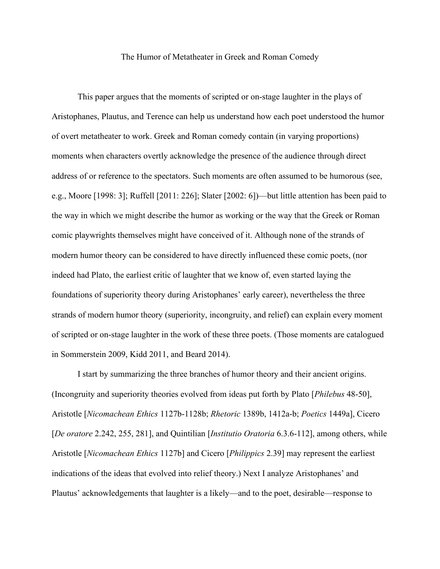## The Humor of Metatheater in Greek and Roman Comedy

This paper argues that the moments of scripted or on-stage laughter in the plays of Aristophanes, Plautus, and Terence can help us understand how each poet understood the humor of overt metatheater to work. Greek and Roman comedy contain (in varying proportions) moments when characters overtly acknowledge the presence of the audience through direct address of or reference to the spectators. Such moments are often assumed to be humorous (see, e.g., Moore [1998: 3]; Ruffell [2011: 226]; Slater [2002: 6])—but little attention has been paid to the way in which we might describe the humor as working or the way that the Greek or Roman comic playwrights themselves might have conceived of it. Although none of the strands of modern humor theory can be considered to have directly influenced these comic poets, (nor indeed had Plato, the earliest critic of laughter that we know of, even started laying the foundations of superiority theory during Aristophanes' early career), nevertheless the three strands of modern humor theory (superiority, incongruity, and relief) can explain every moment of scripted or on-stage laughter in the work of these three poets. (Those moments are catalogued in Sommerstein 2009, Kidd 2011, and Beard 2014).

I start by summarizing the three branches of humor theory and their ancient origins. (Incongruity and superiority theories evolved from ideas put forth by Plato [*Philebus* 48-50], Aristotle [*Nicomachean Ethics* 1127b-1128b; *Rhetoric* 1389b, 1412a-b; *Poetics* 1449a], Cicero [*De oratore* 2.242, 255, 281], and Quintilian [*Institutio Oratoria* 6.3.6-112], among others, while Aristotle [*Nicomachean Ethics* 1127b] and Cicero [*Philippics* 2.39] may represent the earliest indications of the ideas that evolved into relief theory.) Next I analyze Aristophanes' and Plautus' acknowledgements that laughter is a likely—and to the poet, desirable—response to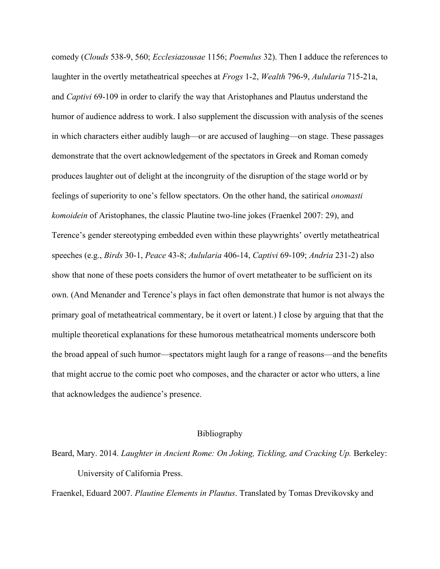comedy (*Clouds* 538-9, 560; *Ecclesiazousae* 1156; *Poenulus* 32). Then I adduce the references to laughter in the overtly metatheatrical speeches at *Frogs* 1-2, *Wealth* 796-9, *Aulularia* 715-21a, and *Captivi* 69-109 in order to clarify the way that Aristophanes and Plautus understand the humor of audience address to work. I also supplement the discussion with analysis of the scenes in which characters either audibly laugh—or are accused of laughing—on stage. These passages demonstrate that the overt acknowledgement of the spectators in Greek and Roman comedy produces laughter out of delight at the incongruity of the disruption of the stage world or by feelings of superiority to one's fellow spectators. On the other hand, the satirical *onomasti komoidein* of Aristophanes, the classic Plautine two-line jokes (Fraenkel 2007: 29), and Terence's gender stereotyping embedded even within these playwrights' overtly metatheatrical speeches (e.g., *Birds* 30-1, *Peace* 43-8; *Aulularia* 406-14, *Captivi* 69-109; *Andria* 231-2) also show that none of these poets considers the humor of overt metatheater to be sufficient on its own. (And Menander and Terence's plays in fact often demonstrate that humor is not always the primary goal of metatheatrical commentary, be it overt or latent.) I close by arguing that that the multiple theoretical explanations for these humorous metatheatrical moments underscore both the broad appeal of such humor—spectators might laugh for a range of reasons—and the benefits that might accrue to the comic poet who composes, and the character or actor who utters, a line that acknowledges the audience's presence.

## Bibliography

Beard, Mary. 2014. *Laughter in Ancient Rome: On Joking, Tickling, and Cracking Up.* Berkeley: University of California Press.

Fraenkel, Eduard 2007. *Plautine Elements in Plautus*. Translated by Tomas Drevikovsky and